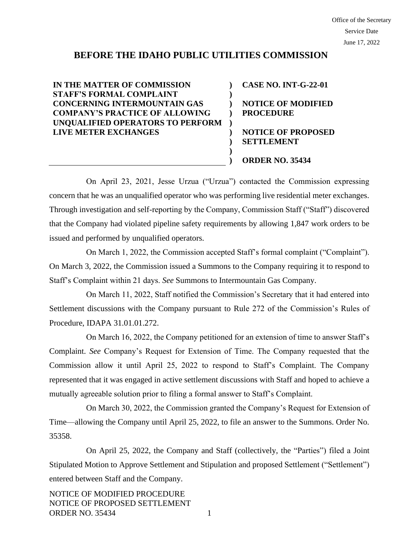# **BEFORE THE IDAHO PUBLIC UTILITIES COMMISSION**

**) ) ) )**

**) ) ) )**

**IN THE MATTER OF COMMISSION STAFF'S FORMAL COMPLAINT CONCERNING INTERMOUNTAIN GAS COMPANY'S PRACTICE OF ALLOWING UNQUALIFIED OPERATORS TO PERFORM LIVE METER EXCHANGES )**

**CASE NO. INT-G-22-01 NOTICE OF MODIFIED PROCEDURE NOTICE OF PROPOSED SETTLEMENT ORDER NO. 35434**

On April 23, 2021, Jesse Urzua ("Urzua") contacted the Commission expressing concern that he was an unqualified operator who was performing live residential meter exchanges. Through investigation and self-reporting by the Company, Commission Staff ("Staff") discovered that the Company had violated pipeline safety requirements by allowing 1,847 work orders to be issued and performed by unqualified operators.

On March 1, 2022, the Commission accepted Staff's formal complaint ("Complaint"). On March 3, 2022, the Commission issued a Summons to the Company requiring it to respond to Staff's Complaint within 21 days. *See* Summons to Intermountain Gas Company.

On March 11, 2022, Staff notified the Commission's Secretary that it had entered into Settlement discussions with the Company pursuant to Rule 272 of the Commission's Rules of Procedure, IDAPA 31.01.01.272.

On March 16, 2022, the Company petitioned for an extension of time to answer Staff's Complaint. *See* Company's Request for Extension of Time. The Company requested that the Commission allow it until April 25, 2022 to respond to Staff's Complaint. The Company represented that it was engaged in active settlement discussions with Staff and hoped to achieve a mutually agreeable solution prior to filing a formal answer to Staff's Complaint.

On March 30, 2022, the Commission granted the Company's Request for Extension of Time—allowing the Company until April 25, 2022, to file an answer to the Summons. Order No. 35358.

On April 25, 2022, the Company and Staff (collectively, the "Parties") filed a Joint Stipulated Motion to Approve Settlement and Stipulation and proposed Settlement ("Settlement") entered between Staff and the Company.

NOTICE OF MODIFIED PROCEDURE NOTICE OF PROPOSED SETTLEMENT ORDER NO. 35434 1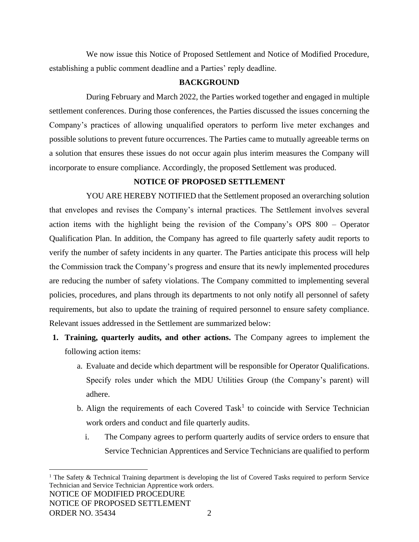We now issue this Notice of Proposed Settlement and Notice of Modified Procedure, establishing a public comment deadline and a Parties' reply deadline.

# **BACKGROUND**

During February and March 2022, the Parties worked together and engaged in multiple settlement conferences. During those conferences, the Parties discussed the issues concerning the Company's practices of allowing unqualified operators to perform live meter exchanges and possible solutions to prevent future occurrences. The Parties came to mutually agreeable terms on a solution that ensures these issues do not occur again plus interim measures the Company will incorporate to ensure compliance. Accordingly, the proposed Settlement was produced.

# **NOTICE OF PROPOSED SETTLEMENT**

YOU ARE HEREBY NOTIFIED that the Settlement proposed an overarching solution that envelopes and revises the Company's internal practices. The Settlement involves several action items with the highlight being the revision of the Company's OPS 800 – Operator Qualification Plan. In addition, the Company has agreed to file quarterly safety audit reports to verify the number of safety incidents in any quarter. The Parties anticipate this process will help the Commission track the Company's progress and ensure that its newly implemented procedures are reducing the number of safety violations. The Company committed to implementing several policies, procedures, and plans through its departments to not only notify all personnel of safety requirements, but also to update the training of required personnel to ensure safety compliance. Relevant issues addressed in the Settlement are summarized below:

- **1. Training, quarterly audits, and other actions.** The Company agrees to implement the following action items:
	- a. Evaluate and decide which department will be responsible for Operator Qualifications. Specify roles under which the MDU Utilities Group (the Company's parent) will adhere.
	- b. Align the requirements of each Covered Task<sup>1</sup> to coincide with Service Technician work orders and conduct and file quarterly audits.
		- i. The Company agrees to perform quarterly audits of service orders to ensure that Service Technician Apprentices and Service Technicians are qualified to perform

NOTICE OF MODIFIED PROCEDURE NOTICE OF PROPOSED SETTLEMENT ORDER NO. 35434 2 <sup>1</sup> The Safety & Technical Training department is developing the list of Covered Tasks required to perform Service Technician and Service Technician Apprentice work orders.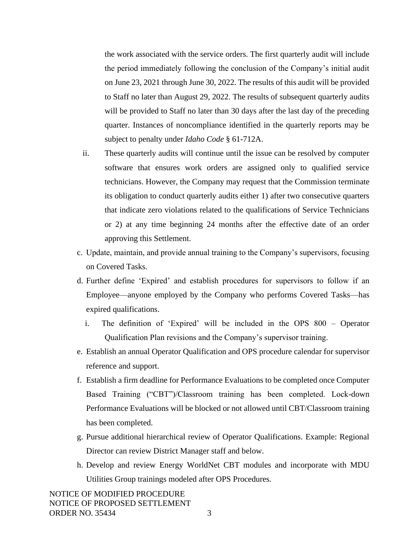the work associated with the service orders. The first quarterly audit will include the period immediately following the conclusion of the Company's initial audit on June 23, 2021 through June 30, 2022. The results of this audit will be provided to Staff no later than August 29, 2022. The results of subsequent quarterly audits will be provided to Staff no later than 30 days after the last day of the preceding quarter. Instances of noncompliance identified in the quarterly reports may be subject to penalty under *Idaho Code* § 61-712A.

- ii. These quarterly audits will continue until the issue can be resolved by computer software that ensures work orders are assigned only to qualified service technicians. However, the Company may request that the Commission terminate its obligation to conduct quarterly audits either 1) after two consecutive quarters that indicate zero violations related to the qualifications of Service Technicians or 2) at any time beginning 24 months after the effective date of an order approving this Settlement.
- c. Update, maintain, and provide annual training to the Company's supervisors, focusing on Covered Tasks.
- d. Further define 'Expired' and establish procedures for supervisors to follow if an Employee—anyone employed by the Company who performs Covered Tasks—has expired qualifications.
	- i. The definition of 'Expired' will be included in the OPS 800 Operator Qualification Plan revisions and the Company's supervisor training.
- e. Establish an annual Operator Qualification and OPS procedure calendar for supervisor reference and support.
- f. Establish a firm deadline for Performance Evaluations to be completed once Computer Based Training ("CBT")/Classroom training has been completed. Lock-down Performance Evaluations will be blocked or not allowed until CBT/Classroom training has been completed.
- g. Pursue additional hierarchical review of Operator Qualifications. Example: Regional Director can review District Manager staff and below.
- h. Develop and review Energy WorldNet CBT modules and incorporate with MDU Utilities Group trainings modeled after OPS Procedures.

NOTICE OF MODIFIED PROCEDURE NOTICE OF PROPOSED SETTLEMENT ORDER NO. 35434 3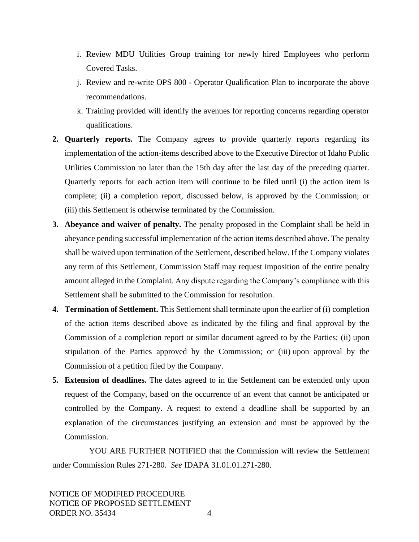- i. Review MDU Utilities Group training for newly hired Employees who perform Covered Tasks.
- j. Review and re-write OPS 800 Operator Qualification Plan to incorporate the above recommendations.
- k. Training provided will identify the avenues for reporting concerns regarding operator qualifications.
- **2. Quarterly reports.** The Company agrees to provide quarterly reports regarding its implementation of the action-items described above to the Executive Director of Idaho Public Utilities Commission no later than the 15th day after the last day of the preceding quarter. Quarterly reports for each action item will continue to be filed until (i) the action item is complete; (ii) a completion report, discussed below, is approved by the Commission; or (iii) this Settlement is otherwise terminated by the Commission.
- **3. Abeyance and waiver of penalty.** The penalty proposed in the Complaint shall be held in abeyance pending successful implementation of the action items described above. The penalty shall be waived upon termination of the Settlement, described below. If the Company violates any term of this Settlement, Commission Staff may request imposition of the entire penalty amount alleged in the Complaint. Any dispute regarding the Company's compliance with this Settlement shall be submitted to the Commission for resolution.
- **4. Termination of Settlement.** This Settlement shall terminate upon the earlier of (i) completion of the action items described above as indicated by the filing and final approval by the Commission of a completion report or similar document agreed to by the Parties; (ii) upon stipulation of the Parties approved by the Commission; or (iii) upon approval by the Commission of a petition filed by the Company.
- **5. Extension of deadlines.** The dates agreed to in the Settlement can be extended only upon request of the Company, based on the occurrence of an event that cannot be anticipated or controlled by the Company. A request to extend a deadline shall be supported by an explanation of the circumstances justifying an extension and must be approved by the Commission.

YOU ARE FURTHER NOTIFIED that the Commission will review the Settlement under Commission Rules 271-280. *See* IDAPA 31.01.01.271-280.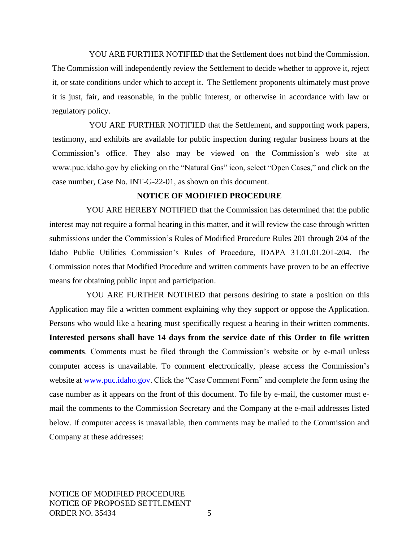YOU ARE FURTHER NOTIFIED that the Settlement does not bind the Commission. The Commission will independently review the Settlement to decide whether to approve it, reject it, or state conditions under which to accept it. The Settlement proponents ultimately must prove it is just, fair, and reasonable, in the public interest, or otherwise in accordance with law or regulatory policy.

YOU ARE FURTHER NOTIFIED that the Settlement, and supporting work papers, testimony, and exhibits are available for public inspection during regular business hours at the Commission's office. They also may be viewed on the Commission's web site at www.puc.idaho.gov by clicking on the "Natural Gas" icon, select "Open Cases," and click on the case number, Case No. INT-G-22-01, as shown on this document.

### **NOTICE OF MODIFIED PROCEDURE**

YOU ARE HEREBY NOTIFIED that the Commission has determined that the public interest may not require a formal hearing in this matter, and it will review the case through written submissions under the Commission's Rules of Modified Procedure Rules 201 through 204 of the Idaho Public Utilities Commission's Rules of Procedure, IDAPA 31.01.01.201-204. The Commission notes that Modified Procedure and written comments have proven to be an effective means for obtaining public input and participation.

YOU ARE FURTHER NOTIFIED that persons desiring to state a position on this Application may file a written comment explaining why they support or oppose the Application. Persons who would like a hearing must specifically request a hearing in their written comments. **Interested persons shall have 14 days from the service date of this Order to file written comments**. Comments must be filed through the Commission's website or by e-mail unless computer access is unavailable. To comment electronically, please access the Commission's website at [www.puc.idaho.gov.](http://www.puc.idaho.gov/) Click the "Case Comment Form" and complete the form using the case number as it appears on the front of this document. To file by e-mail, the customer must email the comments to the Commission Secretary and the Company at the e-mail addresses listed below. If computer access is unavailable, then comments may be mailed to the Commission and Company at these addresses: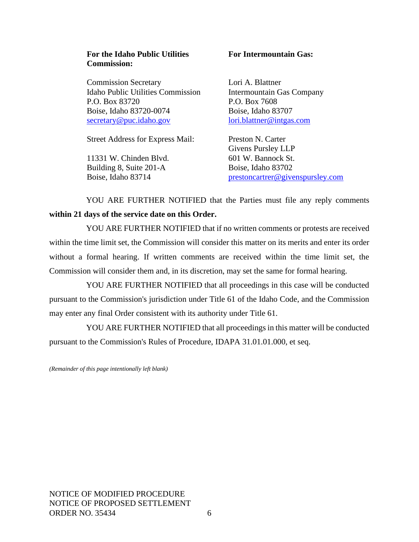#### **For the Idaho Public Utilities Commission:**

Commission Secretary Idaho Public Utilities Commission P.O. Box 83720 Boise, Idaho 83720-0074 [secretary@puc.idaho.gov](mailto:secretary@puc.idaho.gov)

Street Address for Express Mail:

11331 W. Chinden Blvd. Building 8, Suite 201-A Boise, Idaho 83714

#### **For Intermountain Gas:**

Lori A. Blattner Intermountain Gas Company P.O. Box 7608 Boise, Idaho 83707 [lori.blattner@intgas.com](mailto:pat.ehrbar@avistacorp.com)

Preston N. Carter Givens Pursley LLP 601 W. Bannock St. Boise, Idaho 83702 [prestoncartrer@givenspursley.com](mailto:prestoncartrer@givenspursley.com)

YOU ARE FURTHER NOTIFIED that the Parties must file any reply comments **within 21 days of the service date on this Order.**

YOU ARE FURTHER NOTIFIED that if no written comments or protests are received within the time limit set, the Commission will consider this matter on its merits and enter its order without a formal hearing. If written comments are received within the time limit set, the Commission will consider them and, in its discretion, may set the same for formal hearing.

YOU ARE FURTHER NOTIFIED that all proceedings in this case will be conducted pursuant to the Commission's jurisdiction under Title 61 of the Idaho Code, and the Commission may enter any final Order consistent with its authority under Title 61.

YOU ARE FURTHER NOTIFIED that all proceedings in this matter will be conducted pursuant to the Commission's Rules of Procedure, IDAPA 31.01.01.000, et seq.

*(Remainder of this page intentionally left blank)*